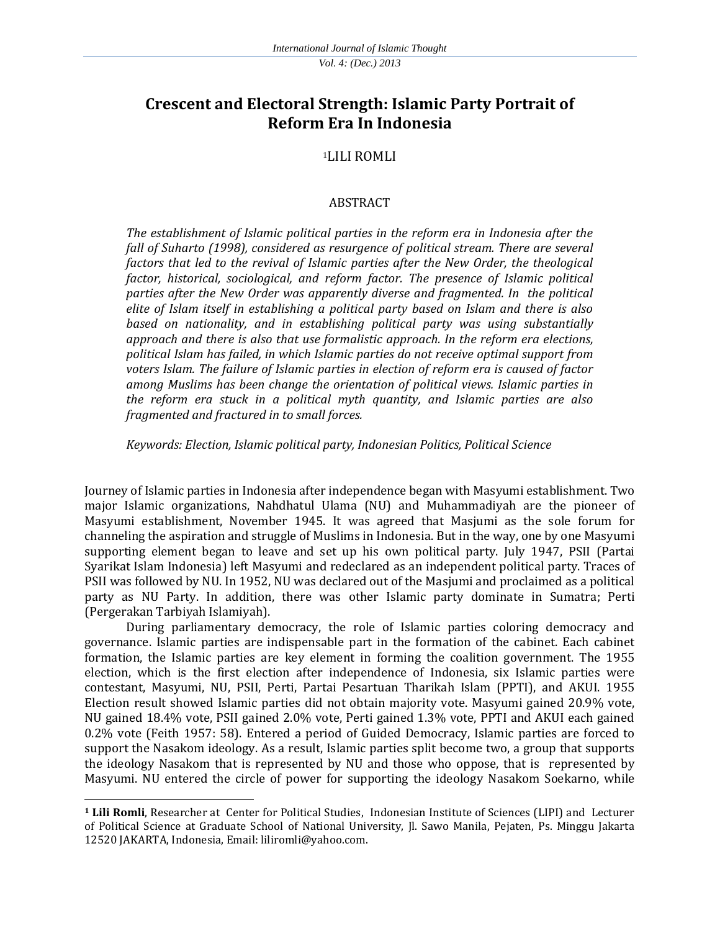# **Crescent and Electoral Strength: Islamic Party Portrait of Reform Era In Indonesia**

# <sup>1</sup>LILI ROMLI

### ABSTRACT

*The establishment of Islamic political parties in the reform era in Indonesia after the fall of Suharto (1998), considered as resurgence of political stream. There are several factors that led to the revival of Islamic parties after the New Order, the theological factor, historical, sociological, and reform factor. The presence of Islamic political parties after the New Order was apparently diverse and fragmented. In the political elite of Islam itself in establishing a political party based on Islam and there is also based on nationality, and in establishing political party was using substantially approach and there is also that use formalistic approach. In the reform era elections, political Islam has failed, in which Islamic parties do not receive optimal support from voters Islam. The failure of Islamic parties in election of reform era is caused of factor among Muslims has been change the orientation of political views. Islamic parties in the reform era stuck in a political myth quantity, and Islamic parties are also fragmented and fractured in to small forces.*

*Keywords: Election, Islamic political party, Indonesian Politics, Political Science*

Journey of Islamic parties in Indonesia after independence began with Masyumi establishment. Two major Islamic organizations, Nahdhatul Ulama (NU) and Muhammadiyah are the pioneer of Masyumi establishment, November 1945. It was agreed that Masjumi as the sole forum for channeling the aspiration and struggle of Muslims in Indonesia. But in the way, one by one Masyumi supporting element began to leave and set up his own political party. July 1947, PSII (Partai Syarikat Islam Indonesia) left Masyumi and redeclared as an independent political party. Traces of PSII was followed by NU. In 1952, NU was declared out of the Masjumi and proclaimed as a political party as NU Party. In addition, there was other Islamic party dominate in Sumatra; Perti (Pergerakan Tarbiyah Islamiyah).

During parliamentary democracy, the role of Islamic parties coloring democracy and governance. Islamic parties are indispensable part in the formation of the cabinet. Each cabinet formation, the Islamic parties are key element in forming the coalition government. The 1955 election, which is the first election after independence of Indonesia, six Islamic parties were contestant, Masyumi, NU, PSII, Perti, Partai Pesartuan Tharikah Islam (PPTI), and AKUI. 1955 Election result showed Islamic parties did not obtain majority vote. Masyumi gained 20.9% vote, NU gained 18.4% vote, PSII gained 2.0% vote, Perti gained 1.3% vote, PPTI and AKUI each gained 0.2% vote (Feith 1957: 58). Entered a period of Guided Democracy, Islamic parties are forced to support the Nasakom ideology. As a result, Islamic parties split become two, a group that supports the ideology Nasakom that is represented by NU and those who oppose, that is represented by Masyumi. NU entered the circle of power for supporting the ideology Nasakom Soekarno, while

l

**<sup>1</sup> Lili Romli**, Researcher at Center for Political Studies, Indonesian Institute of Sciences (LIPI) and Lecturer of Political Science at Graduate School of National University, Jl. Sawo Manila, Pejaten, Ps. Minggu Jakarta 12520 JAKARTA, Indonesia, Email: [liliromli@yahoo.com.](http://webmail.ukm.my/imp/message.php?mailbox=SU5CT1g&uid=8147)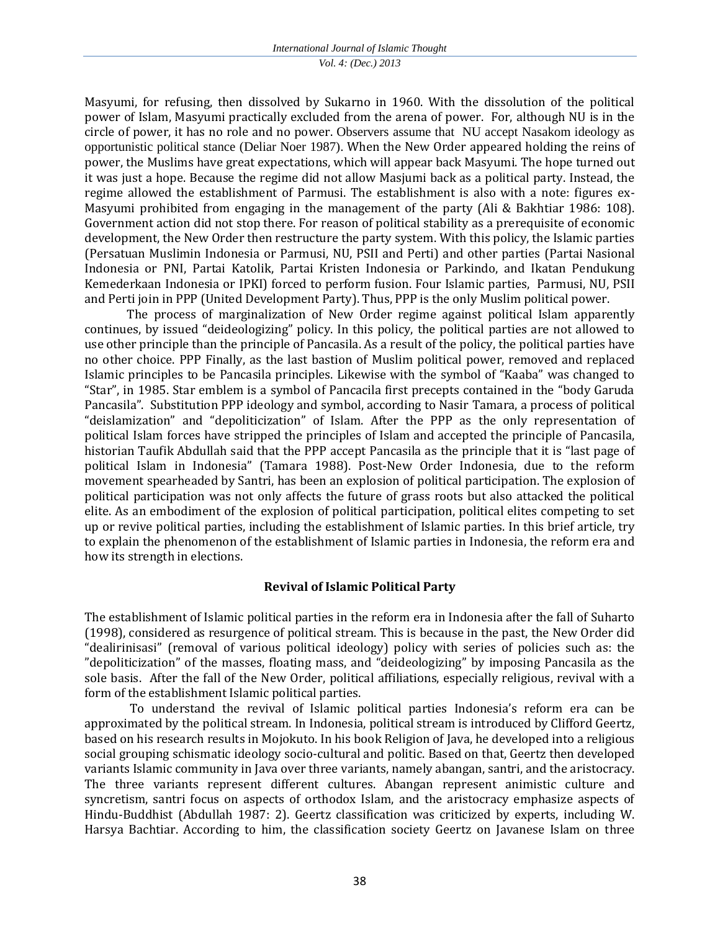Masyumi, for refusing, then dissolved by Sukarno in 1960. With the dissolution of the political power of Islam, Masyumi practically excluded from the arena of power. For, although NU is in the circle of power, it has no role and no power. Observers assume that NU accept Nasakom ideology as opportunistic political stance (Deliar Noer 1987). When the New Order appeared holding the reins of power, the Muslims have great expectations, which will appear back Masyumi. The hope turned out it was just a hope. Because the regime did not allow Masjumi back as a political party. Instead, the regime allowed the establishment of Parmusi. The establishment is also with a note: figures ex-Masyumi prohibited from engaging in the management of the party (Ali & Bakhtiar 1986: 108). Government action did not stop there. For reason of political stability as a prerequisite of economic development, the New Order then restructure the party system. With this policy, the Islamic parties (Persatuan Muslimin Indonesia or Parmusi, NU, PSII and Perti) and other parties (Partai Nasional Indonesia or PNI, Partai Katolik, Partai Kristen Indonesia or Parkindo, and Ikatan Pendukung Kemederkaan Indonesia or IPKI) forced to perform fusion. Four Islamic parties, Parmusi, NU, PSII and Perti join in PPP (United Development Party). Thus, PPP is the only Muslim political power.

The process of marginalization of New Order regime against political Islam apparently continues, by issued "deideologizing" policy. In this policy, the political parties are not allowed to use other principle than the principle of Pancasila. As a result of the policy, the political parties have no other choice. PPP Finally, as the last bastion of Muslim political power, removed and replaced Islamic principles to be Pancasila principles. Likewise with the symbol of "Kaaba" was changed to "Star", in 1985. Star emblem is a symbol of Pancacila first precepts contained in the "body Garuda Pancasila". Substitution PPP ideology and symbol, according to Nasir Tamara, a process of political "deislamization" and "depoliticization" of Islam. After the PPP as the only representation of political Islam forces have stripped the principles of Islam and accepted the principle of Pancasila, historian Taufik Abdullah said that the PPP accept Pancasila as the principle that it is "last page of political Islam in Indonesia" (Tamara 1988). Post-New Order Indonesia, due to the reform movement spearheaded by Santri, has been an explosion of political participation. The explosion of political participation was not only affects the future of grass roots but also attacked the political elite. As an embodiment of the explosion of political participation, political elites competing to set up or revive political parties, including the establishment of Islamic parties. In this brief article, try to explain the phenomenon of the establishment of Islamic parties in Indonesia, the reform era and how its strength in elections.

#### **Revival of Islamic Political Party**

The establishment of Islamic political parties in the reform era in Indonesia after the fall of Suharto (1998), considered as resurgence of political stream. This is because in the past, the New Order did "dealirinisasi" (removal of various political ideology) policy with series of policies such as: the "depoliticization" of the masses, floating mass, and "deideologizing" by imposing Pancasila as the sole basis. After the fall of the New Order, political affiliations, especially religious, revival with a form of the establishment Islamic political parties.

To understand the revival of Islamic political parties Indonesia's reform era can be approximated by the political stream. In Indonesia, political stream is introduced by Clifford Geertz, based on his research results in Mojokuto. In his book Religion of Java, he developed into a religious social grouping schismatic ideology socio-cultural and politic. Based on that, Geertz then developed variants Islamic community in Java over three variants, namely abangan, santri, and the aristocracy. The three variants represent different cultures. Abangan represent animistic culture and syncretism, santri focus on aspects of orthodox Islam, and the aristocracy emphasize aspects of Hindu-Buddhist (Abdullah 1987: 2). Geertz classification was criticized by experts, including W. Harsya Bachtiar. According to him, the classification society Geertz on Javanese Islam on three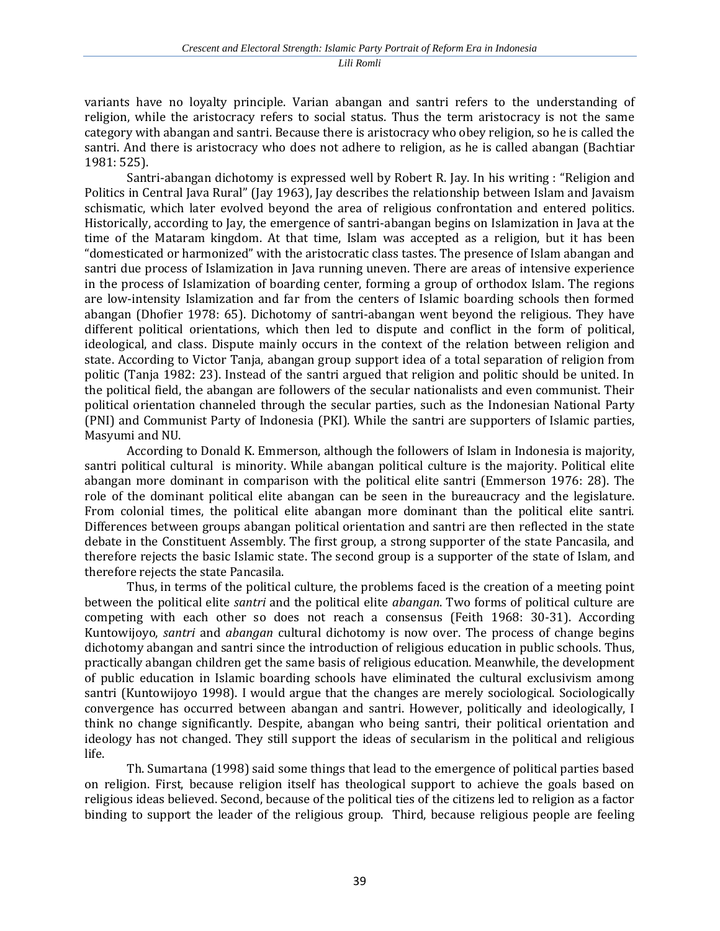variants have no loyalty principle. Varian abangan and santri refers to the understanding of religion, while the aristocracy refers to social status. Thus the term aristocracy is not the same category with abangan and santri. Because there is aristocracy who obey religion, so he is called the santri. And there is aristocracy who does not adhere to religion, as he is called abangan (Bachtiar 1981: 525).

Santri-abangan dichotomy is expressed well by Robert R. Jay. In his writing : "Religion and Politics in Central Java Rural" (Jay 1963), Jay describes the relationship between Islam and Javaism schismatic, which later evolved beyond the area of religious confrontation and entered politics. Historically, according to Jay, the emergence of santri-abangan begins on Islamization in Java at the time of the Mataram kingdom. At that time, Islam was accepted as a religion, but it has been "domesticated or harmonized" with the aristocratic class tastes. The presence of Islam abangan and santri due process of Islamization in Java running uneven. There are areas of intensive experience in the process of Islamization of boarding center, forming a group of orthodox Islam. The regions are low-intensity Islamization and far from the centers of Islamic boarding schools then formed abangan (Dhofier 1978: 65). Dichotomy of santri-abangan went beyond the religious. They have different political orientations, which then led to dispute and conflict in the form of political, ideological, and class. Dispute mainly occurs in the context of the relation between religion and state. According to Victor Tanja, abangan group support idea of a total separation of religion from politic (Tanja 1982: 23). Instead of the santri argued that religion and politic should be united. In the political field, the abangan are followers of the secular nationalists and even communist. Their political orientation channeled through the secular parties, such as the Indonesian National Party (PNI) and Communist Party of Indonesia (PKI). While the santri are supporters of Islamic parties, Masyumi and NU.

According to Donald K. Emmerson, although the followers of Islam in Indonesia is majority, santri political cultural is minority. While abangan political culture is the majority. Political elite abangan more dominant in comparison with the political elite santri (Emmerson 1976: 28). The role of the dominant political elite abangan can be seen in the bureaucracy and the legislature. From colonial times, the political elite abangan more dominant than the political elite santri. Differences between groups abangan political orientation and santri are then reflected in the state debate in the Constituent Assembly. The first group, a strong supporter of the state Pancasila, and therefore rejects the basic Islamic state. The second group is a supporter of the state of Islam, and therefore rejects the state Pancasila.

Thus, in terms of the political culture, the problems faced is the creation of a meeting point between the political elite *santri* and the political elite *abangan*. Two forms of political culture are competing with each other so does not reach a consensus (Feith 1968: 30-31). According Kuntowijoyo, *santri* and *abangan* cultural dichotomy is now over. The process of change begins dichotomy abangan and santri since the introduction of religious education in public schools. Thus, practically abangan children get the same basis of religious education. Meanwhile, the development of public education in Islamic boarding schools have eliminated the cultural exclusivism among santri (Kuntowijoyo 1998). I would argue that the changes are merely sociological. Sociologically convergence has occurred between abangan and santri. However, politically and ideologically, I think no change significantly. Despite, abangan who being santri, their political orientation and ideology has not changed. They still support the ideas of secularism in the political and religious life.

Th. Sumartana (1998) said some things that lead to the emergence of political parties based on religion. First, because religion itself has theological support to achieve the goals based on religious ideas believed. Second, because of the political ties of the citizens led to religion as a factor binding to support the leader of the religious group. Third, because religious people are feeling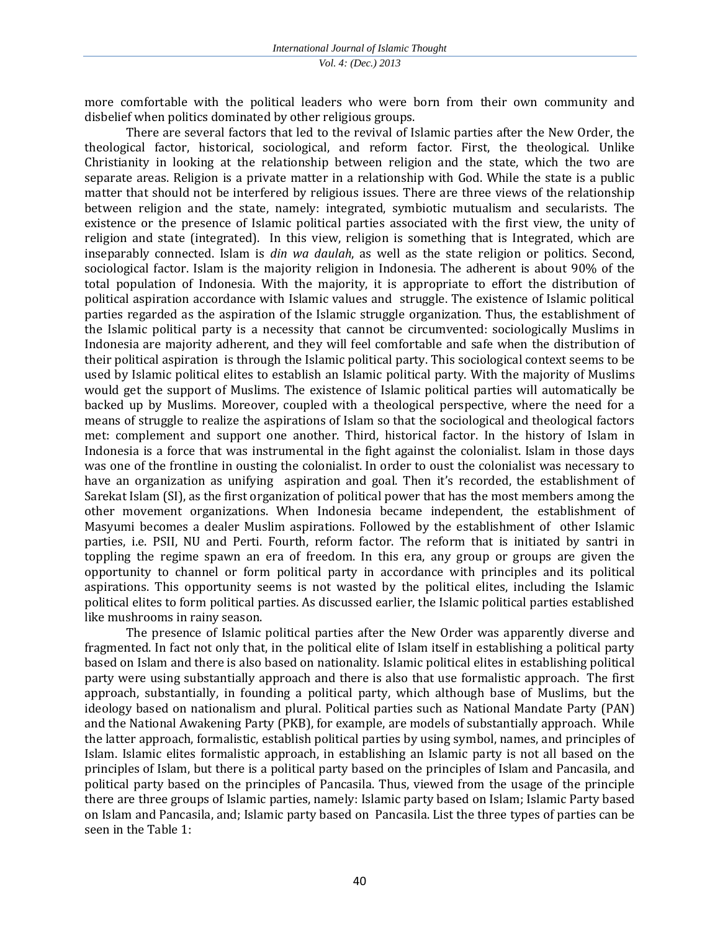more comfortable with the political leaders who were born from their own community and disbelief when politics dominated by other religious groups.

There are several factors that led to the revival of Islamic parties after the New Order, the theological factor, historical, sociological, and reform factor. First, the theological. Unlike Christianity in looking at the relationship between religion and the state, which the two are separate areas. Religion is a private matter in a relationship with God. While the state is a public matter that should not be interfered by religious issues. There are three views of the relationship between religion and the state, namely: integrated, symbiotic mutualism and secularists. The existence or the presence of Islamic political parties associated with the first view, the unity of religion and state (integrated). In this view, religion is something that is Integrated, which are inseparably connected. Islam is *din wa daulah*, as well as the state religion or politics. Second, sociological factor. Islam is the majority religion in Indonesia. The adherent is about 90% of the total population of Indonesia. With the majority, it is appropriate to effort the distribution of political aspiration accordance with Islamic values and struggle. The existence of Islamic political parties regarded as the aspiration of the Islamic struggle organization. Thus, the establishment of the Islamic political party is a necessity that cannot be circumvented: sociologically Muslims in Indonesia are majority adherent, and they will feel comfortable and safe when the distribution of their political aspiration is through the Islamic political party. This sociological context seems to be used by Islamic political elites to establish an Islamic political party. With the majority of Muslims would get the support of Muslims. The existence of Islamic political parties will automatically be backed up by Muslims. Moreover, coupled with a theological perspective, where the need for a means of struggle to realize the aspirations of Islam so that the sociological and theological factors met: complement and support one another. Third, historical factor. In the history of Islam in Indonesia is a force that was instrumental in the fight against the colonialist. Islam in those days was one of the frontline in ousting the colonialist. In order to oust the colonialist was necessary to have an organization as unifying aspiration and goal. Then it's recorded, the establishment of Sarekat Islam (SI), as the first organization of political power that has the most members among the other movement organizations. When Indonesia became independent, the establishment of Masyumi becomes a dealer Muslim aspirations. Followed by the establishment of other Islamic parties, i.e. PSII, NU and Perti. Fourth, reform factor. The reform that is initiated by santri in toppling the regime spawn an era of freedom. In this era, any group or groups are given the opportunity to channel or form political party in accordance with principles and its political aspirations. This opportunity seems is not wasted by the political elites, including the Islamic political elites to form political parties. As discussed earlier, the Islamic political parties established like mushrooms in rainy season.

The presence of Islamic political parties after the New Order was apparently diverse and fragmented. In fact not only that, in the political elite of Islam itself in establishing a political party based on Islam and there is also based on nationality. Islamic political elites in establishing political party were using substantially approach and there is also that use formalistic approach. The first approach, substantially, in founding a political party, which although base of Muslims, but the ideology based on nationalism and plural. Political parties such as National Mandate Party (PAN) and the National Awakening Party (PKB), for example, are models of substantially approach. While the latter approach, formalistic, establish political parties by using symbol, names, and principles of Islam. Islamic elites formalistic approach, in establishing an Islamic party is not all based on the principles of Islam, but there is a political party based on the principles of Islam and Pancasila, and political party based on the principles of Pancasila. Thus, viewed from the usage of the principle there are three groups of Islamic parties, namely: Islamic party based on Islam; Islamic Party based on Islam and Pancasila, and; Islamic party based on Pancasila. List the three types of parties can be seen in the Table 1: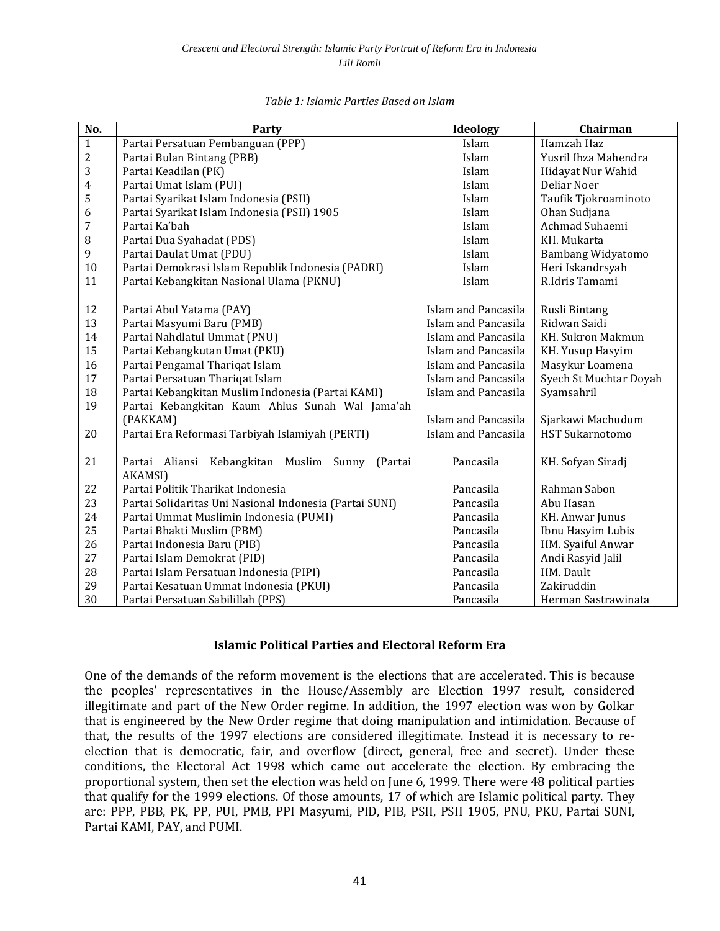*Lili Romli* 

| No.              | Party                                                    | Ideology            | Chairman               |
|------------------|----------------------------------------------------------|---------------------|------------------------|
| $\mathbf{1}$     | Partai Persatuan Pembanguan (PPP)                        | Islam               | Hamzah Haz             |
| $\overline{2}$   | Partai Bulan Bintang (PBB)                               | Islam               | Yusril Ihza Mahendra   |
| 3                | Partai Keadilan (PK)                                     | Islam               | Hidayat Nur Wahid      |
| $\overline{4}$   | Partai Umat Islam (PUI)                                  | Islam               | Deliar Noer            |
| 5                | Partai Syarikat Islam Indonesia (PSII)                   | Islam               | Taufik Tjokroaminoto   |
| 6                | Partai Syarikat Islam Indonesia (PSII) 1905              | Islam               | Ohan Sudjana           |
| $\boldsymbol{7}$ | Partai Ka'bah                                            | Islam               | Achmad Suhaemi         |
| $\, 8$           | Partai Dua Syahadat (PDS)                                | Islam               | KH. Mukarta            |
| 9                | Partai Daulat Umat (PDU)                                 | Islam               | Bambang Widyatomo      |
| 10               | Partai Demokrasi Islam Republik Indonesia (PADRI)        | Islam               | Heri Iskandrsyah       |
| 11               | Partai Kebangkitan Nasional Ulama (PKNU)                 | Islam               | R.Idris Tamami         |
|                  |                                                          |                     |                        |
| 12               | Partai Abul Yatama (PAY)                                 | Islam and Pancasila | Rusli Bintang          |
| 13               | Partai Masyumi Baru (PMB)                                | Islam and Pancasila | Ridwan Saidi           |
| 14               | Partai Nahdlatul Ummat (PNU)                             | Islam and Pancasila | KH. Sukron Makmun      |
| 15               | Partai Kebangkutan Umat (PKU)                            | Islam and Pancasila | KH. Yusup Hasyim       |
| 16               | Partai Pengamal Thariqat Islam                           | Islam and Pancasila | Masykur Loamena        |
| 17               | Partai Persatuan Thariqat Islam                          | Islam and Pancasila | Syech St Muchtar Doyah |
| 18               | Partai Kebangkitan Muslim Indonesia (Partai KAMI)        | Islam and Pancasila | Syamsahril             |
| 19               | Partai Kebangkitan Kaum Ahlus Sunah Wal Jama'ah          |                     |                        |
|                  | (PAKKAM)                                                 | Islam and Pancasila | Sjarkawi Machudum      |
| 20               | Partai Era Reformasi Tarbiyah Islamiyah (PERTI)          | Islam and Pancasila | <b>HST Sukarnotomo</b> |
|                  |                                                          |                     |                        |
| 21               | Partai<br>Aliansi<br>Kebangkitan Muslim Sunny<br>(Partai | Pancasila           | KH. Sofyan Siradj      |
|                  | AKAMSI)                                                  |                     |                        |
| 22               | Partai Politik Tharikat Indonesia                        | Pancasila           | Rahman Sabon           |
| 23               | Partai Solidaritas Uni Nasional Indonesia (Partai SUNI)  | Pancasila           | Abu Hasan              |
| 24               | Partai Ummat Muslimin Indonesia (PUMI)                   | Pancasila           | KH. Anwar Junus        |
| 25               | Partai Bhakti Muslim (PBM)                               | Pancasila           | Ibnu Hasyim Lubis      |
| 26               | Partai Indonesia Baru (PIB)                              | Pancasila           | HM. Syaiful Anwar      |
| 27               | Partai Islam Demokrat (PID)                              | Pancasila           | Andi Rasyid Jalil      |
| 28               | Partai Islam Persatuan Indonesia (PIPI)                  | Pancasila           | HM. Dault              |
| 29               | Partai Kesatuan Ummat Indonesia (PKUI)                   | Pancasila           | Zakiruddin             |
| 30               | Partai Persatuan Sabilillah (PPS)                        | Pancasila           | Herman Sastrawinata    |

#### *Table 1: Islamic Parties Based on Islam*

#### **Islamic Political Parties and Electoral Reform Era**

One of the demands of the reform movement is the elections that are accelerated. This is because the peoples' representatives in the House/Assembly are Election 1997 result, considered illegitimate and part of the New Order regime. In addition, the 1997 election was won by Golkar that is engineered by the New Order regime that doing manipulation and intimidation. Because of that, the results of the 1997 elections are considered illegitimate. Instead it is necessary to reelection that is democratic, fair, and overflow (direct, general, free and secret). Under these conditions, the Electoral Act 1998 which came out accelerate the election. By embracing the proportional system, then set the election was held on June 6, 1999. There were 48 political parties that qualify for the 1999 elections. Of those amounts, 17 of which are Islamic political party. They are: PPP, PBB, PK, PP, PUI, PMB, PPI Masyumi, PID, PIB, PSII, PSII 1905, PNU, PKU, Partai SUNI, Partai KAMI, PAY, and PUMI.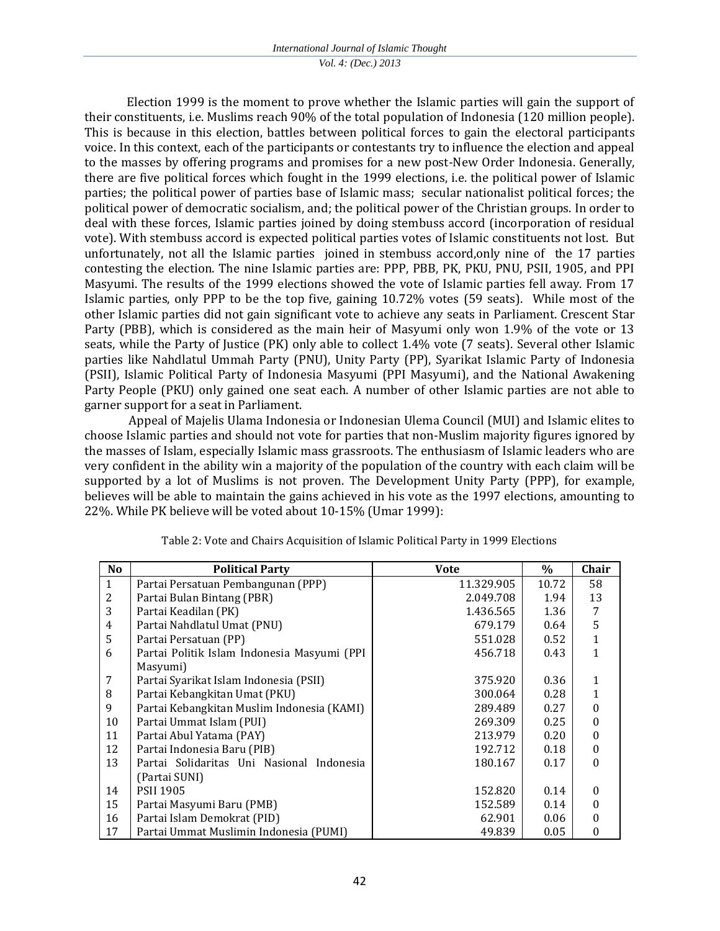Election 1999 is the moment to prove whether the Islamic parties will gain the support of their constituents, i.e. Muslims reach 90% of the total population of Indonesia (120 million people). This is because in this election, battles between political forces to gain the electoral participants voice. In this context, each of the participants or contestants try to influence the election and appeal to the masses by offering programs and promises for a new post-New Order Indonesia. Generally, there are five political forces which fought in the 1999 elections, i.e. the political power of Islamic parties; the political power of parties base of Islamic mass; secular nationalist political forces; the political power of democratic socialism, and; the political power of the Christian groups. In order to deal with these forces, Islamic parties joined by doing stembuss accord (incorporation of residual vote). With stembuss accord is expected political parties votes of Islamic constituents not lost. But unfortunately, not all the Islamic parties joined in stembuss accord,only nine of the 17 parties contesting the election. The nine Islamic parties are: PPP, PBB, PK, PKU, PNU, PSII, 1905, and PPI Masyumi. The results of the 1999 elections showed the vote of Islamic parties fell away. From 17 Islamic parties, only PPP to be the top five, gaining 10.72% votes (59 seats). While most of the other Islamic parties did not gain significant vote to achieve any seats in Parliament. Crescent Star Party (PBB), which is considered as the main heir of Masyumi only won 1.9% of the vote or 13 seats, while the Party of Justice (PK) only able to collect 1.4% vote (7 seats). Several other Islamic parties like Nahdlatul Ummah Party (PNU), Unity Party (PP), Syarikat Islamic Party of Indonesia (PSII), Islamic Political Party of Indonesia Masyumi (PPI Masyumi), and the National Awakening Party People (PKU) only gained one seat each. A number of other Islamic parties are not able to garner support for a seat in Parliament.

Appeal of Majelis Ulama Indonesia or Indonesian Ulema Council (MUI) and Islamic elites to choose Islamic parties and should not vote for parties that non-Muslim majority figures ignored by the masses of Islam, especially Islamic mass grassroots. The enthusiasm of Islamic leaders who are very confident in the ability win a majority of the population of the country with each claim will be supported by a lot of Muslims is not proven. The Development Unity Party (PPP), for example, believes will be able to maintain the gains achieved in his vote as the 1997 elections, amounting to 22%. While PK believe will be voted about 10-15% (Umar 1999):

| N <sub>o</sub> | <b>Political Party</b>                      | <b>Vote</b> | $\%$  | Chair        |
|----------------|---------------------------------------------|-------------|-------|--------------|
| $\mathbf{1}$   | Partai Persatuan Pembangunan (PPP)          | 11.329.905  | 10.72 | 58           |
| 2              | Partai Bulan Bintang (PBR)                  | 2.049.708   | 1.94  | 13           |
| 3              | Partai Keadilan (PK)                        | 1.436.565   | 1.36  | 7            |
| 4              | Partai Nahdlatul Umat (PNU)                 | 679.179     | 0.64  | 5            |
| 5              | Partai Persatuan (PP)                       | 551.028     | 0.52  | $\mathbf{1}$ |
| 6              | Partai Politik Islam Indonesia Masyumi (PPI | 456.718     | 0.43  | $\mathbf{1}$ |
|                | Masyumi)                                    |             |       |              |
| 7              | Partai Syarikat Islam Indonesia (PSII)      | 375.920     | 0.36  | $\mathbf{1}$ |
| 8              | Partai Kebangkitan Umat (PKU)               | 300.064     | 0.28  | $\mathbf{1}$ |
| 9              | Partai Kebangkitan Muslim Indonesia (KAMI)  | 289.489     | 0.27  | $\theta$     |
| 10             | Partai Ummat Islam (PUI)                    | 269.309     | 0.25  | 0            |
| 11             | Partai Abul Yatama (PAY)                    | 213.979     | 0.20  | 0            |
| 12             | Partai Indonesia Baru (PIB)                 | 192.712     | 0.18  | $\Omega$     |
| 13             | Partai Solidaritas Uni Nasional Indonesia   | 180.167     | 0.17  | 0            |
|                | (Partai SUNI)                               |             |       |              |
| 14             | <b>PSII 1905</b>                            | 152.820     | 0.14  | $\Omega$     |
| 15             | Partai Masyumi Baru (PMB)                   | 152.589     | 0.14  | 0            |
| 16             | Partai Islam Demokrat (PID)                 | 62.901      | 0.06  | 0            |
| 17             | Partai Ummat Muslimin Indonesia (PUMI)      | 49.839      | 0.05  | 0            |

Table 2: Vote and Chairs Acquisition of Islamic Political Party in 1999 Elections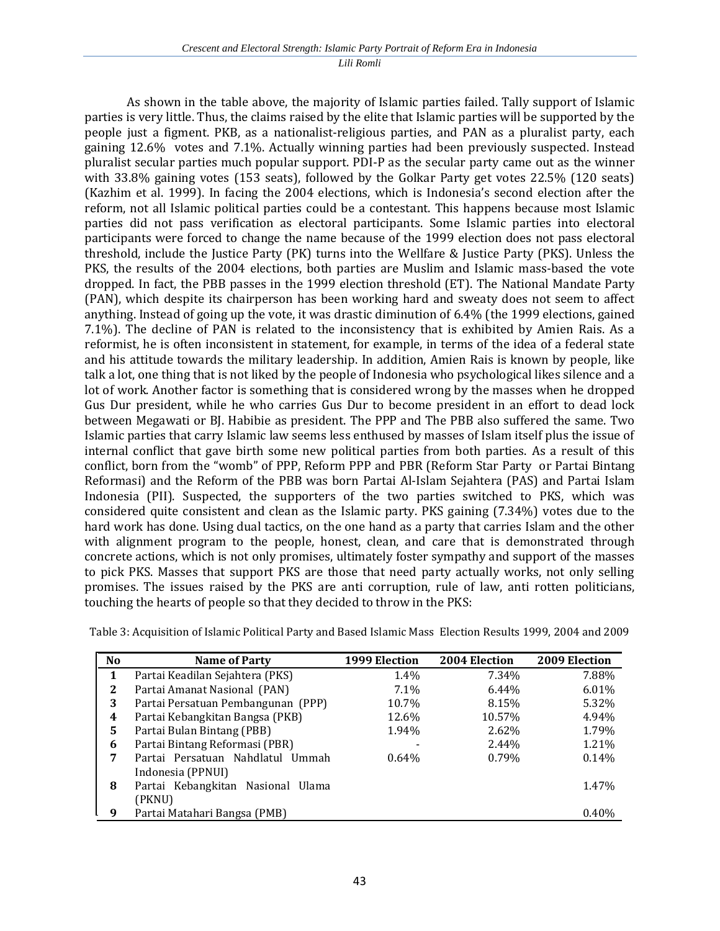*Lili Romli* 

As shown in the table above, the majority of Islamic parties failed. Tally support of Islamic parties is very little. Thus, the claims raised by the elite that Islamic parties will be supported by the people just a figment. PKB, as a nationalist-religious parties, and PAN as a pluralist party, each gaining 12.6% votes and 7.1%. Actually winning parties had been previously suspected. Instead pluralist secular parties much popular support. PDI-P as the secular party came out as the winner with 33.8% gaining votes (153 seats), followed by the Golkar Party get votes 22.5% (120 seats) (Kazhim et al. 1999). In facing the 2004 elections, which is Indonesia's second election after the reform, not all Islamic political parties could be a contestant. This happens because most Islamic parties did not pass verification as electoral participants. Some Islamic parties into electoral participants were forced to change the name because of the 1999 election does not pass electoral threshold, include the Justice Party (PK) turns into the Wellfare & Justice Party (PKS). Unless the PKS, the results of the 2004 elections, both parties are Muslim and Islamic mass-based the vote dropped. In fact, the PBB passes in the 1999 election threshold (ET). The National Mandate Party (PAN), which despite its chairperson has been working hard and sweaty does not seem to affect anything. Instead of going up the vote, it was drastic diminution of 6.4% (the 1999 elections, gained 7.1%). The decline of PAN is related to the inconsistency that is exhibited by Amien Rais. As a reformist, he is often inconsistent in statement, for example, in terms of the idea of a federal state and his attitude towards the military leadership. In addition, Amien Rais is known by people, like talk a lot, one thing that is not liked by the people of Indonesia who psychological likes silence and a lot of work. Another factor is something that is considered wrong by the masses when he dropped Gus Dur president, while he who carries Gus Dur to become president in an effort to dead lock between Megawati or BJ. Habibie as president. The PPP and The PBB also suffered the same. Two Islamic parties that carry Islamic law seems less enthused by masses of Islam itself plus the issue of internal conflict that gave birth some new political parties from both parties. As a result of this conflict, born from the "womb" of PPP, Reform PPP and PBR (Reform Star Party or Partai Bintang Reformasi) and the Reform of the PBB was born Partai Al-Islam Sejahtera (PAS) and Partai Islam Indonesia (PII). Suspected, the supporters of the two parties switched to PKS, which was considered quite consistent and clean as the Islamic party. PKS gaining (7.34%) votes due to the hard work has done. Using dual tactics, on the one hand as a party that carries Islam and the other with alignment program to the people, honest, clean, and care that is demonstrated through concrete actions, which is not only promises, ultimately foster sympathy and support of the masses to pick PKS. Masses that support PKS are those that need party actually works, not only selling promises. The issues raised by the PKS are anti corruption, rule of law, anti rotten politicians, touching the hearts of people so that they decided to throw in the PKS:

| No | Name of Party                      | 1999 Election | <b>2004 Election</b> | 2009 Election |
|----|------------------------------------|---------------|----------------------|---------------|
| 1  | Partai Keadilan Sejahtera (PKS)    | 1.4%          | 7.34%                | 7.88%         |
| 2  | Partai Amanat Nasional (PAN)       | $7.1\%$       | 6.44%                | 6.01%         |
| 3  | Partai Persatuan Pembangunan (PPP) | 10.7%         | 8.15%                | 5.32%         |
| 4  | Partai Kebangkitan Bangsa (PKB)    | 12.6%         | 10.57%               | 4.94%         |
| 5. | Partai Bulan Bintang (PBB)         | 1.94%         | 2.62%                | 1.79%         |
| 6  | Partai Bintang Reformasi (PBR)     |               | 2.44%                | 1.21%         |
| 7  | Partai Persatuan Nahdlatul Ummah   | $0.64\%$      | 0.79%                | 0.14%         |
|    | Indonesia (PPNUI)                  |               |                      |               |
| 8  | Partai Kebangkitan Nasional Ulama  |               |                      | 1.47%         |
|    | (PKNU)                             |               |                      |               |
| -9 | Partai Matahari Bangsa (PMB)       |               |                      | 0.40%         |

Table 3: Acquisition of Islamic Political Party and Based Islamic Mass Election Results 1999, 2004 and 2009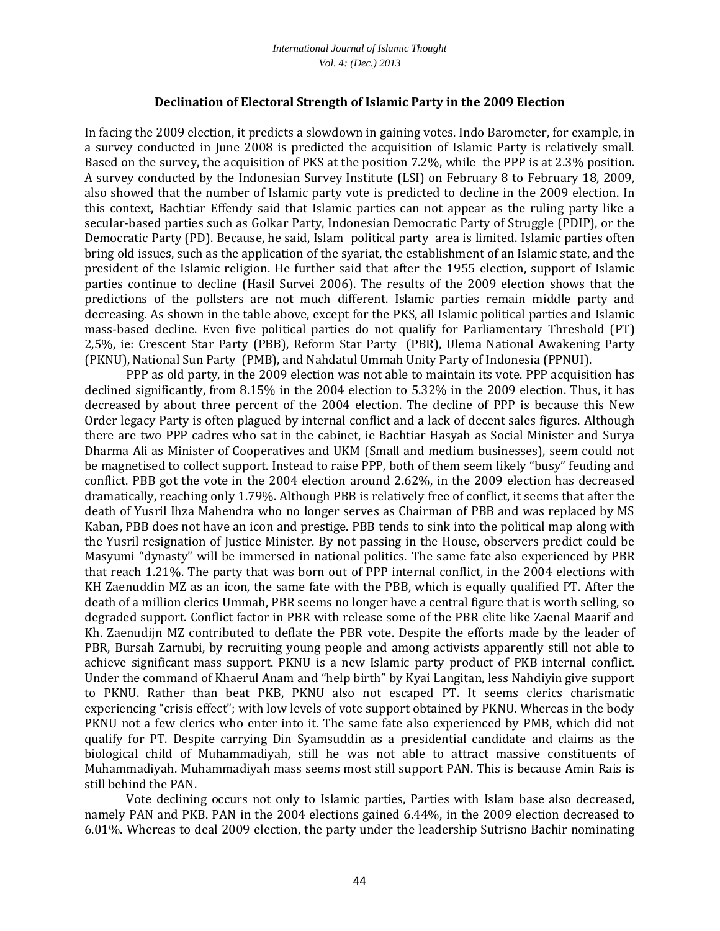*Vol. 4: (Dec.) 2013*

#### **Declination of Electoral Strength of Islamic Party in the 2009 Election**

In facing the 2009 election, it predicts a slowdown in gaining votes. Indo Barometer, for example, in a survey conducted in June 2008 is predicted the acquisition of Islamic Party is relatively small. Based on the survey, the acquisition of PKS at the position 7.2%, while the PPP is at 2.3% position. A survey conducted by the Indonesian Survey Institute (LSI) on February 8 to February 18, 2009, also showed that the number of Islamic party vote is predicted to decline in the 2009 election. In this context, Bachtiar Effendy said that Islamic parties can not appear as the ruling party like a secular-based parties such as Golkar Party, Indonesian Democratic Party of Struggle (PDIP), or the Democratic Party (PD). Because, he said, Islam political party area is limited. Islamic parties often bring old issues, such as the application of the syariat, the establishment of an Islamic state, and the president of the Islamic religion. He further said that after the 1955 election, support of Islamic parties continue to decline (Hasil Survei 2006). The results of the 2009 election shows that the predictions of the pollsters are not much different. Islamic parties remain middle party and decreasing. As shown in the table above, except for the PKS, all Islamic political parties and Islamic mass-based decline. Even five political parties do not qualify for Parliamentary Threshold (PT) 2,5%, ie: Crescent Star Party (PBB), Reform Star Party (PBR), Ulema National Awakening Party (PKNU), National Sun Party (PMB), and Nahdatul Ummah Unity Party of Indonesia (PPNUI).

PPP as old party, in the 2009 election was not able to maintain its vote. PPP acquisition has declined significantly, from 8.15% in the 2004 election to 5.32% in the 2009 election. Thus, it has decreased by about three percent of the 2004 election. The decline of PPP is because this New Order legacy Party is often plagued by internal conflict and a lack of decent sales figures. Although there are two PPP cadres who sat in the cabinet, ie Bachtiar Hasyah as Social Minister and Surya Dharma Ali as Minister of Cooperatives and UKM (Small and medium businesses), seem could not be magnetised to collect support. Instead to raise PPP, both of them seem likely "busy" feuding and conflict. PBB got the vote in the 2004 election around 2.62%, in the 2009 election has decreased dramatically, reaching only 1.79%. Although PBB is relatively free of conflict, it seems that after the death of Yusril Ihza Mahendra who no longer serves as Chairman of PBB and was replaced by MS Kaban, PBB does not have an icon and prestige. PBB tends to sink into the political map along with the Yusril resignation of Justice Minister. By not passing in the House, observers predict could be Masyumi "dynasty" will be immersed in national politics. The same fate also experienced by PBR that reach 1.21%. The party that was born out of PPP internal conflict, in the 2004 elections with KH Zaenuddin MZ as an icon, the same fate with the PBB, which is equally qualified PT. After the death of a million clerics Ummah, PBR seems no longer have a central figure that is worth selling, so degraded support. Conflict factor in PBR with release some of the PBR elite like Zaenal Maarif and Kh. Zaenudijn MZ contributed to deflate the PBR vote. Despite the efforts made by the leader of PBR, Bursah Zarnubi, by recruiting young people and among activists apparently still not able to achieve significant mass support. PKNU is a new Islamic party product of PKB internal conflict. Under the command of Khaerul Anam and "help birth" by Kyai Langitan, less Nahdiyin give support to PKNU. Rather than beat PKB, PKNU also not escaped PT. It seems clerics charismatic experiencing "crisis effect"; with low levels of vote support obtained by PKNU. Whereas in the body PKNU not a few clerics who enter into it. The same fate also experienced by PMB, which did not qualify for PT. Despite carrying Din Syamsuddin as a presidential candidate and claims as the biological child of Muhammadiyah, still he was not able to attract massive constituents of Muhammadiyah. Muhammadiyah mass seems most still support PAN. This is because Amin Rais is still behind the PAN.

Vote declining occurs not only to Islamic parties, Parties with Islam base also decreased, namely PAN and PKB. PAN in the 2004 elections gained 6.44%, in the 2009 election decreased to 6.01%. Whereas to deal 2009 election, the party under the leadership Sutrisno Bachir nominating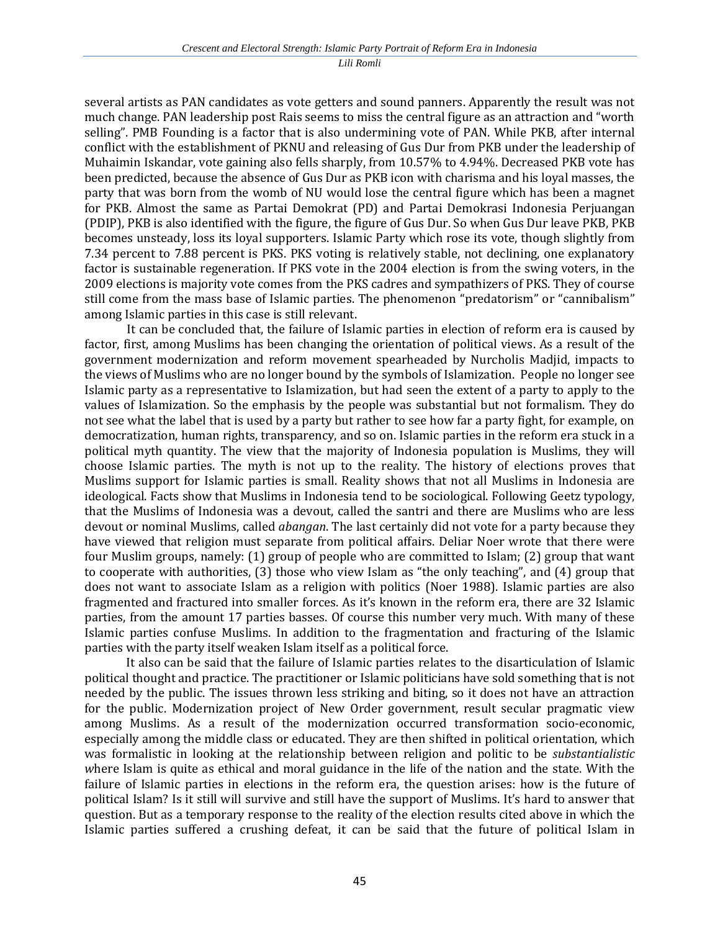several artists as PAN candidates as vote getters and sound panners. Apparently the result was not much change. PAN leadership post Rais seems to miss the central figure as an attraction and "worth selling". PMB Founding is a factor that is also undermining vote of PAN. While PKB, after internal conflict with the establishment of PKNU and releasing of Gus Dur from PKB under the leadership of Muhaimin Iskandar, vote gaining also fells sharply, from 10.57% to 4.94%. Decreased PKB vote has been predicted, because the absence of Gus Dur as PKB icon with charisma and his loyal masses, the party that was born from the womb of NU would lose the central figure which has been a magnet for PKB. Almost the same as Partai Demokrat (PD) and Partai Demokrasi Indonesia Perjuangan (PDIP), PKB is also identified with the figure, the figure of Gus Dur. So when Gus Dur leave PKB, PKB becomes unsteady, loss its loyal supporters. Islamic Party which rose its vote, though slightly from 7.34 percent to 7.88 percent is PKS. PKS voting is relatively stable, not declining, one explanatory factor is sustainable regeneration. If PKS vote in the 2004 election is from the swing voters, in the 2009 elections is majority vote comes from the PKS cadres and sympathizers of PKS. They of course still come from the mass base of Islamic parties. The phenomenon "predatorism" or "cannibalism" among Islamic parties in this case is still relevant.

It can be concluded that, the failure of Islamic parties in election of reform era is caused by factor, first, among Muslims has been changing the orientation of political views. As a result of the government modernization and reform movement spearheaded by Nurcholis Madjid, impacts to the views of Muslims who are no longer bound by the symbols of Islamization. People no longer see Islamic party as a representative to Islamization, but had seen the extent of a party to apply to the values of Islamization. So the emphasis by the people was substantial but not formalism. They do not see what the label that is used by a party but rather to see how far a party fight, for example, on democratization, human rights, transparency, and so on. Islamic parties in the reform era stuck in a political myth quantity. The view that the majority of Indonesia population is Muslims, they will choose Islamic parties. The myth is not up to the reality. The history of elections proves that Muslims support for Islamic parties is small. Reality shows that not all Muslims in Indonesia are ideological. Facts show that Muslims in Indonesia tend to be sociological. Following Geetz typology, that the Muslims of Indonesia was a devout, called the santri and there are Muslims who are less devout or nominal Muslims, called *abangan*. The last certainly did not vote for a party because they have viewed that religion must separate from political affairs. Deliar Noer wrote that there were four Muslim groups, namely: (1) group of people who are committed to Islam; (2) group that want to cooperate with authorities, (3) those who view Islam as "the only teaching", and (4) group that does not want to associate Islam as a religion with politics (Noer 1988). Islamic parties are also fragmented and fractured into smaller forces. As it's known in the reform era, there are 32 Islamic parties, from the amount 17 parties basses. Of course this number very much. With many of these Islamic parties confuse Muslims. In addition to the fragmentation and fracturing of the Islamic parties with the party itself weaken Islam itself as a political force.

It also can be said that the failure of Islamic parties relates to the disarticulation of Islamic political thought and practice. The practitioner or Islamic politicians have sold something that is not needed by the public. The issues thrown less striking and biting, so it does not have an attraction for the public. Modernization project of New Order government, result secular pragmatic view among Muslims. As a result of the modernization occurred transformation socio-economic, especially among the middle class or educated. They are then shifted in political orientation, which was formalistic in looking at the relationship between religion and politic to be *substantialistic w*here Islam is quite as ethical and moral guidance in the life of the nation and the state. With the failure of Islamic parties in elections in the reform era, the question arises: how is the future of political Islam? Is it still will survive and still have the support of Muslims. It's hard to answer that question. But as a temporary response to the reality of the election results cited above in which the Islamic parties suffered a crushing defeat, it can be said that the future of political Islam in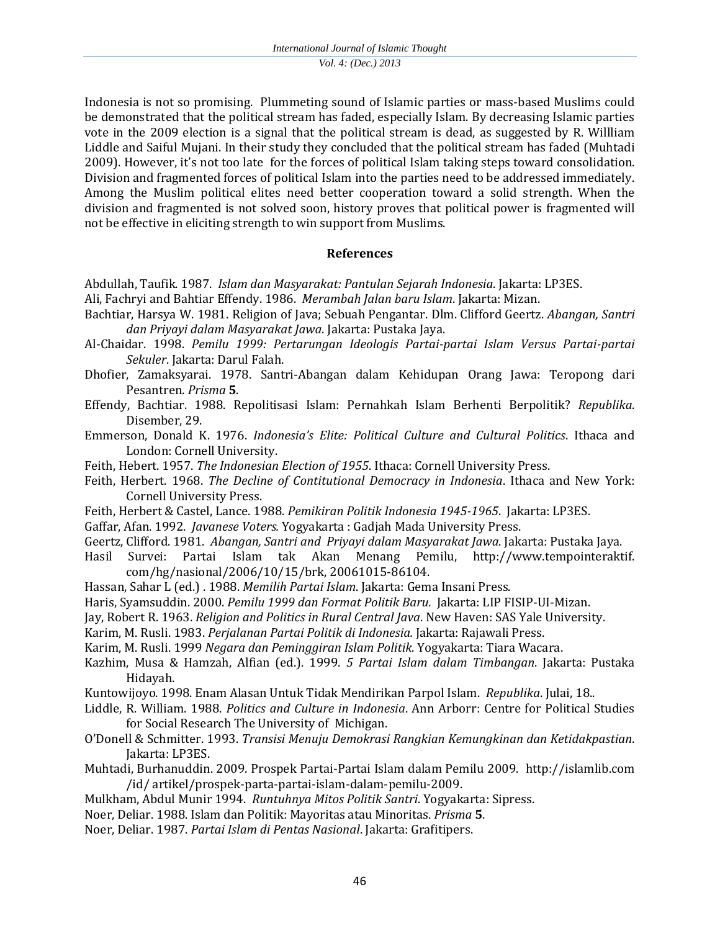Indonesia is not so promising. Plummeting sound of Islamic parties or mass-based Muslims could be demonstrated that the political stream has faded, especially Islam. By decreasing Islamic parties vote in the 2009 election is a signal that the political stream is dead, as suggested by R. Willliam Liddle and Saiful Mujani. In their study they concluded that the political stream has faded (Muhtadi 2009). However, it's not too late for the forces of political Islam taking steps toward consolidation. Division and fragmented forces of political Islam into the parties need to be addressed immediately. Among the Muslim political elites need better cooperation toward a solid strength. When the division and fragmented is not solved soon, history proves that political power is fragmented will not be effective in eliciting strength to win support from Muslims.

## **References**

- Abdullah, Taufik. 1987. *Islam dan Masyarakat: Pantulan Sejarah Indonesia*. Jakarta: LP3ES.
- Ali, Fachryi and Bahtiar Effendy. 1986. *Merambah Jalan baru Islam*. Jakarta: Mizan.
- Bachtiar, Harsya W. 1981. Religion of Java; Sebuah Pengantar. Dlm. Clifford Geertz. *Abangan, Santri dan Priyayi dalam Masyarakat Jawa*. Jakarta: Pustaka Jaya.
- Al-Chaidar. 1998. *Pemilu 1999: Pertarungan Ideologis Partai-partai Islam Versus Partai-partai Sekuler*. Jakarta: Darul Falah.
- Dhofier, Zamaksyarai. 1978. Santri-Abangan dalam Kehidupan Orang Jawa: Teropong dari Pesantren. *Prisma* **5**.
- Effendy, Bachtiar. 1988. Repolitisasi Islam: Pernahkah Islam Berhenti Berpolitik? *Republika*. Disember, 29.
- Emmerson, Donald K. 1976. *Indonesia's Elite: Political Culture and Cultural Politics*. Ithaca and London: Cornell University.
- Feith, Hebert. 1957. *The Indonesian Election of 1955*. Ithaca: Cornell University Press.
- Feith, Herbert. 1968. *The Decline of Contitutional Democracy in Indonesia*. Ithaca and New York: Cornell University Press.
- Feith, Herbert & Castel, Lance. 1988. *Pemikiran Politik Indonesia 1945-1965*. Jakarta: LP3ES.
- Gaffar, Afan. 1992. *Javanese Voters.* Yogyakarta : Gadjah Mada University Press.
- Geertz, Clifford. 1981. *Abangan, Santri and Priyayi dalam Masyarakat Jawa*. Jakarta: Pustaka Jaya.
- Hasil Survei: Partai Islam tak Akan Menang Pemilu, http://www.tempointeraktif. com/hg/nasional/2006/10/15/brk, 20061015-86104.
- Hassan, Sahar L (ed.) . 1988. *Memilih Partai Islam*. Jakarta: Gema Insani Press.
- Haris, Syamsuddin. 2000. *Pemilu 1999 dan Format Politik Baru.* Jakarta: LIP FISIP-UI-Mizan.
- Jay, Robert R. 1963. *Religion and Politics in Rural Central Java*. New Haven: SAS Yale University.
- Karim, M. Rusli. 1983. *Perjalanan Partai Politik di Indonesia.* Jakarta: Rajawali Press.
- Karim, M. Rusli. 1999 *Negara dan Peminggiran Islam Politik*. Yogyakarta: Tiara Wacara.
- Kazhim, Musa & Hamzah, Alfian (ed.). 1999. *5 Partai Islam dalam Timbangan*. Jakarta: Pustaka Hidayah.
- Kuntowijoyo. 1998. Enam Alasan Untuk Tidak Mendirikan Parpol Islam. *Republika*. Julai, 18..
- Liddle, R. William. 1988. *Politics and Culture in Indonesia*. Ann Arborr: Centre for Political Studies for Social Research The University of Michigan.
- O'Donell & Schmitter. 1993. *Transisi Menuju Demokrasi Rangkian Kemungkinan dan Ketidakpastian*. Jakarta: LP3ES.
- Muhtadi, Burhanuddin. 2009. Prospek Partai-Partai Islam dalam Pemilu 2009. [http://islamlib.com](http://islamlib.com/) /id/ artikel/prospek-parta-partai-islam-dalam-pemilu-2009.
- Mulkham, Abdul Munir 1994. *Runtuhnya Mitos Politik Santri*. Yogyakarta: Sipress.
- Noer, Deliar. 1988. Islam dan Politik: Mayoritas atau Minoritas. *Prisma* **5**.
- Noer, Deliar. 1987. *Partai Islam di Pentas Nasional*. Jakarta: Grafitipers.